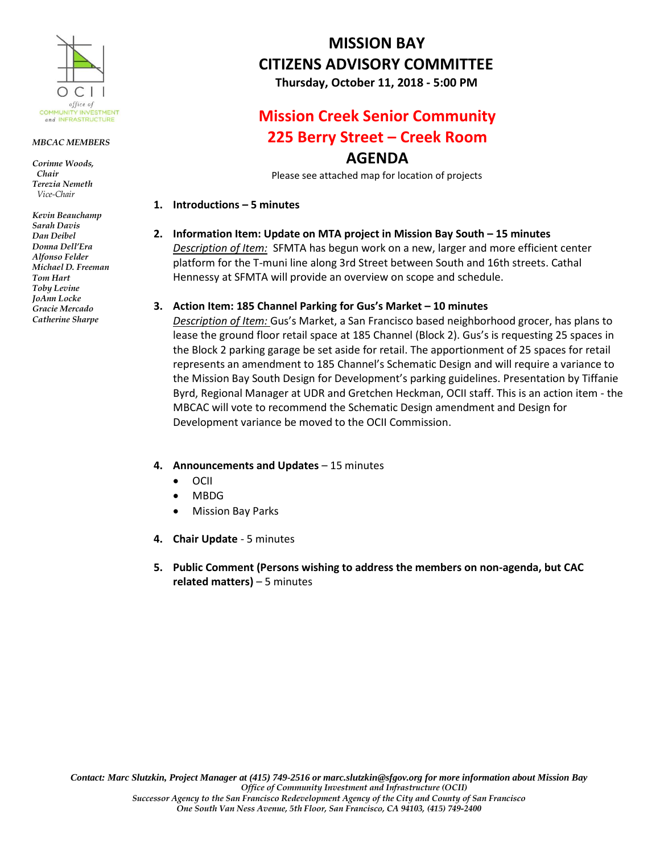

### *MBCAC MEMBERS*

*Corinne Woods, Chair Terezia Nemeth Vice-Chair*

*Kevin Beauchamp Sarah Davis Dan Deibel Donna Dell'Era Alfonso Felder Michael D. Freeman Tom Hart Toby Levine JoAnn Locke Gracie Mercado Catherine Sharpe*

# **MISSION BAY CITIZENS ADVISORY COMMITTEE**

**Thursday, October 11, 2018 - 5:00 PM**

## **Mission Creek Senior Community 225 Berry Street – Creek Room AGENDA**

Please see attached map for location of projects

## **1. Introductions – 5 minutes**

**2. Information Item: Update on MTA project in Mission Bay South – 15 minutes**

*Description of Item:* SFMTA has begun work on a new, larger and more efficient center platform for the T-muni line along 3rd Street between South and 16th streets. Cathal Hennessy at SFMTA will provide an overview on scope and schedule.

## **3. Action Item: 185 Channel Parking for Gus's Market – 10 minutes**

*Description of Item:* Gus's Market, a San Francisco based neighborhood grocer, has plans to lease the ground floor retail space at 185 Channel (Block 2). Gus's is requesting 25 spaces in the Block 2 parking garage be set aside for retail. The apportionment of 25 spaces for retail represents an amendment to 185 Channel's Schematic Design and will require a variance to the Mission Bay South Design for Development's parking guidelines. Presentation by Tiffanie Byrd, Regional Manager at UDR and Gretchen Heckman, OCII staff. This is an action item - the MBCAC will vote to recommend the Schematic Design amendment and Design for Development variance be moved to the OCII Commission.

- **4. Announcements and Updates**  15 minutes
	- $\bullet$  OCII
	- MBDG
	- Mission Bay Parks
- **4. Chair Update**  5 minutes
- **5. Public Comment (Persons wishing to address the members on non-agenda, but CAC related matters)** – 5 minutes